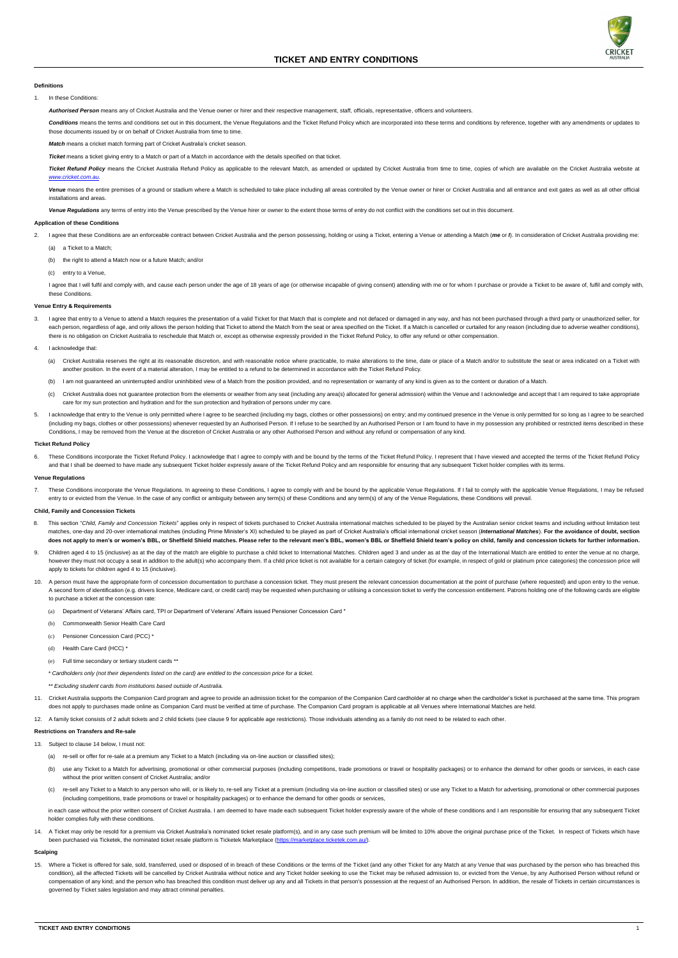

## **Definitions**

1. In these Conditions:

Authorised Person means any of Cricket Australia and the Venue owner or hirer and their respective management, staff, officials, representative, officers and volunteers.

Conditions means the terms and conditions set out in this document, the Venue Regulations and the Ticket Refund Policy which are incorporated into these terms and conditions by reference, together with any amendments or up those documents issued by or on behalf of Cricket Australia from time to time.

Ticket Refund Policy means the Cricket Australia Refund Policy as applicable to the relevant Match, as amended or updated by Cricket Australia from time to time, copies of which are available on the Cricket Australia websi *[www.cricket.com.au](http://www.cricket.com.au/)*.

*Match* means a cricket match forming part of Cricket Australia's cricket season.

**Ticket** means a ticket giving entry to a Match or part of a Match in accordance with the details specified on that ticket.

Venue means the entire premises of a ground or stadium where a Match is scheduled to take place including all areas controlled by the Venue owner or hirer or Cricket Australia and all entrance and exit gates as well as all installations and areas.

Venue Regulations any terms of entry into the Venue prescribed by the Venue hirer or owner to the extent those terms of entry do not conflict with the conditions set out in this document.

- 2. I agree that these Conditions are an enforceable contract between Cricket Australia and the person possessing, holding or using a Ticket, entering a Venue or attending a Match (me or I). In consideration of Cricket Aust
	- (a) a Ticket to a Match;
	- (b) the right to attend a Match now or a future Match; and/or
	- (c) entry to a Venue,

I agree that I will fulfil and comply with, and cause each person under the age of 18 years of age (or otherwise incapable of giving consent) attending with me or for whom I purchase or provide a Ticket to be aware of, ful these Conditions.

### **Application of these Conditions**

#### **Venue Entry & Requirements**

- 3. I agree that entry to a Venue to attend a Match requires the presentation of a valid Ticket for that Match that is complete and not defaced or damaged in any way, and has not been purchased through a third party or unau each person, regardless of age, and only allows the person holding that Ticket to attend the Match from the seat or area specified on the Ticket. If a Match is cancelled or curtailed for any reason (including due to advers there is no obligation on Cricket Australia to reschedule that Match or, except as otherwise expressly provided in the Ticket Refund Policy, to offer any refund or other compensation.
- 4. I acknowledge that:
	- (a) Cricket Australia reserves the right at its reasonable discretion, and with reasonable notice where practicable, to make alterations to the time, date or place of a Match and/or to substitute the seat or area indicated another position. In the event of a material alteration, I may be entitled to a refund to be determined in accordance with the Ticket Refund Policy.
	- (b) I am not guaranteed an uninterrupted and/or uninhibited view of a Match from the position provided, and no representation or warranty of any kind is given as to the content or duration of a Match.
	- (c) Cricket Australia does not guarantee protection from the elements or weather from any seat (including any area(s) allocated for general admission) within the Venue and I acknowledge and accept that I am required to tak care for my sun protection and hydration and for the sun protection and hydration of persons under my care.
- 5. I acknowledge that entry to the Venue is only permitted where I agree to be searched (including my bags, clothes or other possessions) on entry; and my continued presence in the Venue is only permitted for so long as I (including my bags, clothes or other possessions) whenever requested by an Authorised Person. If I refuse to be searched by an Authorised Person or I am found to have in my possession any prohibited or restricted items des Conditions, I may be removed from the Venue at the discretion of Cricket Australia or any other Authorised Person and without any refund or compensation of any kind.

7. These Conditions incorporate the Venue Regulations. In agreeing to these Conditions, I agree to comply with and be bound by the applicable Venue Regulations. If I fail to comply with the applicable Venue Regulations, I entry to or evicted from the Venue. In the case of any conflict or ambiguity between any term(s) of these Conditions and any term(s) of any of the Venue Regulations, these Conditions will prevail.

- 8. This section "Child, Family and Concession Tickets" applies only in respect of tickets purchased to Cricket Australia international matches scheduled to be played by the Australian senior cricket teams and including wit matches, one-day and 20-over international matches (including Prime Minister's XI) scheduled to be played as part of Cricket Australia's official international cricket season (International Matches). For the avoidance of d does not apply to men's or women's BBL, or Sheffield Shield matches. Please refer to the relevant men's BBL, women's BBL or Sheffield Shield team's policy on child, family and concession tickets for further information.
- <span id="page-0-0"></span>9. Children aged 4 to 15 (inclusive) as at the day of the match are eligible to purchase a child ticket to International Matches. Children aged 3 and under as at the day of the International Match are entitled to enter the however they must not occupy a seat in addition to the adult(s) who accompany them. If a child price ticket is not available for a certain category of ticket (for example, in respect of gold or platinum price categories) t apply to tickets for children aged 4 to 15 (inclusive).
- 10. A person must have the appropriate form of concession documentation to purchase a concession ticket. They must present the relevant concession documentation at the point of purchase (where requested) and upon entry to A second form of identification (e.g. drivers licence, Medicare card, or credit card) may be requested when purchasing or utilising a concession ticket to verify the concession entitlement. Patrons holding one of the follo to purchase a ticket at the concession rate:
	- (a) Department of Veterans' Affairs card, TPI or Department of Veterans' Affairs issued Pensioner Concession Card \*
	- (b) Commonwealth Senior Health Care Card
	- (c) Pensioner Concession Card (PCC) \*
	- (d) Health Care Card (HCC) \*
	- (e) Full time secondary or tertiary student cards \*\*

## **Ticket Refund Policy**

6. These Conditions incorporate the Ticket Refund Policy. I acknowledge that I agree to comply with and be bound by the terms of the Ticket Refund Policy. I represent that I have viewed and accepted the terms of the Ticket and that I shall be deemed to have made any subsequent Ticket holder expressly aware of the Ticket Refund Policy and am responsible for ensuring that any subsequent Ticket holder complies with its terms.

- 13. Subject to clause [14](#page-0-1) below, I must not:
	- (a) re-sell or offer for re-sale at a premium any Ticket to a Match (including via on-line auction or classified sites);
	- (b) use any Ticket to a Match for advertising, promotional or other commercial purposes (including competitions, trade promotions or travel or hospitality packages) or to enhance the demand for other goods or services, in without the prior written consent of Cricket Australia; and/or
	- (c) re-sell any Ticket to a Match to any person who will, or is likely to, re-sell any Ticket at a premium (including via on-line auction or classified sites) or use any Ticket to a Match for advertising, promotional or ot (including competitions, trade promotions or travel or hospitality packages) or to enhance the demand for other goods or services,

in each case without the prior written consent of Cricket Australia. I am deemed to have made each subsequent Ticket holder expressly aware of the whole of these conditions and I am responsible for ensuring that any subseq holder complies fully with these conditions.

<span id="page-0-1"></span>14. A Ticket may only be resold for a premium via Cricket Australia's nominated ticket resale platform(s), and in any case such premium will be limited to 10% above the original purchase price of the Ticket. In respect of been purchased via Ticketek, the nominated ticket resale platform is Ticketek Marketplace [\(https://marketplace.ticketek.com.au/\).](https://marketplace.ticketek.com.au/)

### **Venue Regulations**

15. Where a Ticket is offered for sale, sold, transferred, used or disposed of in breach of these Conditions or the terms of the Ticket (and any other Ticket for any Match at any Venue that was purchased by the person who condition), all the affected Tickets will be cancelled by Cricket Australia without notice and any Ticket holder seeking to use the Ticket may be refused admission to, or evicted from the Venue, by any Authorised Person wi compensation of any kind; and the person who has breached this condition must deliver up any and all Tickets in that person's possession at the request of an Authorised Person. In addition, the resale of Tickets in certain governed by Ticket sales legislation and may attract criminal penalties.

#### **Child, Family and Concession Tickets**

*\* Cardholders only (not their dependents listed on the card) are entitled to the concession price for a ticket.*

*\*\* Excluding student cards from institutions based outside of Australia.*

- 11. Cricket Australia supports the Companion Card program and agree to provide an admission ticket for the companion of the Companion Card cardholder at no charge when the cardholder's ticket is purchased at the same time. does not apply to purchases made online as Companion Card must be verified at time of purchase. The Companion Card program is applicable at all Venues where International Matches are held.
- 12. A family ticket consists of 2 adult tickets and 2 child tickets (see clause [9](#page-0-0) for applicable age restrictions). Those individuals attending as a family do not need to be related to each other

## **Restrictions on Transfers and Re-sale**

## **Scalping**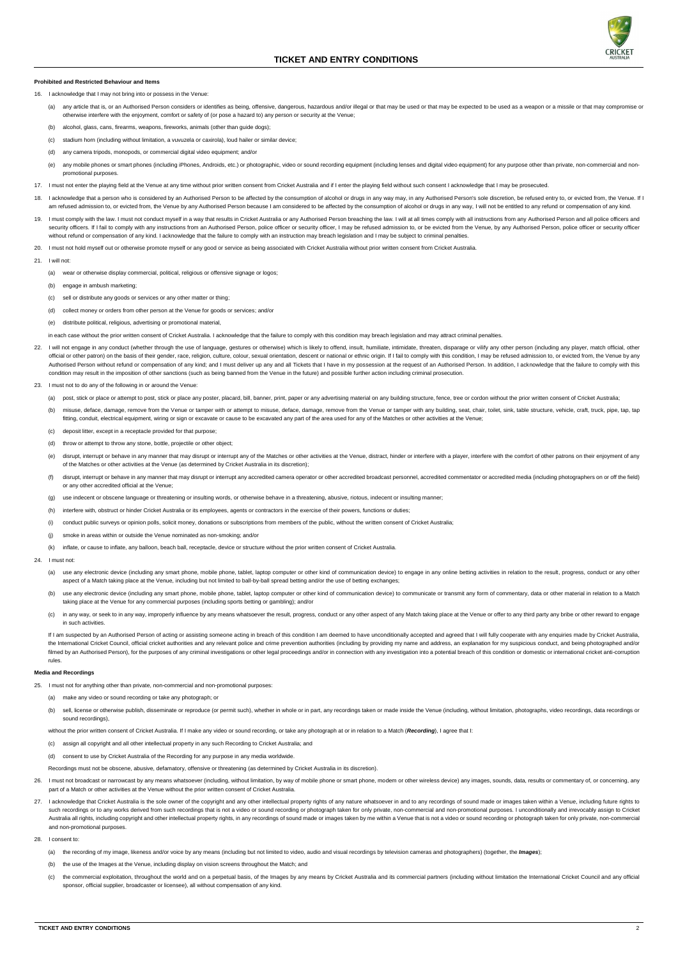

## **Prohibited and Restricted Behaviour and Items**

- 16. I acknowledge that I may not bring into or possess in the Venue:
	- (a) any article that is, or an Authorised Person considers or identifies as being, offensive, dangerous, hazardous and/or illegal or that may be used or that may be expected to be used as a weapon or a missile or that may otherwise interfere with the enjoyment, comfort or safety of (or pose a hazard to) any person or security at the Venue;
	- (b) alcohol, glass, cans, firearms, weapons, fireworks, animals (other than guide dogs);
	- (c) stadium horn (including without limitation, a vuvuzela or caxirola), loud hailer or similar device;
	- (d) any camera tripods, monopods, or commercial digital video equipment; and/or
	- (e) any mobile phones or smart phones (including iPhones, Androids, etc.) or photographic, video or sound recording equipment (including lenses and digital video equipment) for any purpose other than private, non-commercia promotional purposes.
- 17. I must not enter the playing field at the Venue at any time without prior written consent from Cricket Australia and if I enter the playing field without such consent I acknowledge that I may be prosecuted.
- 18. I acknowledge that a person who is considered by an Authorised Person to be affected by the consumption of alcohol or drugs in any way may, in any Authorised Person's sole discretion, be refused entry to, or evicted fr am refused admission to, or evicted from, the Venue by any Authorised Person because I am considered to be affected by the consumption of alcohol or drugs in any way, I will not be entitled to any refund or compensation of
- 19. I must comply with the law. I must not conduct myself in a way that results in Cricket Australia or any Authorised Person breaching the law. I will at all times comply with all instructions from any Authorised Person a security officers. If I fail to comply with any instructions from an Authorised Person, police officer or security officer, I may be refused admission to, or be evicted from the Venue, by any Authorised Person, police offi without refund or compensation of any kind. I acknowledge that the failure to comply with an instruction may breach legislation and I may be subject to criminal penalties.
- 20. I must not hold myself out or otherwise promote myself or any good or service as being associated with Cricket Australia without prior written consent from Cricket Australia.
- 21. I will not:
	- (a) wear or otherwise display commercial, political, religious or offensive signage or logos;
	- (b) engage in ambush marketing;
	- (c) sell or distribute any goods or services or any other matter or thing;
	- (d) collect money or orders from other person at the Venue for goods or services; and/or
	- (e) distribute political, religious, advertising or promotional material,

in each case without the prior written consent of Cricket Australia. I acknowledge that the failure to comply with this condition may breach legislation and may attract criminal penalties

- 22. I will not engage in any conduct (whether through the use of language, gestures or otherwise) which is likely to offend, insult, humiliate, intimidate, threaten, disparage or vilify any other person (including any play official or other patron) on the basis of their gender, race, religion, culture, colour, sexual orientation, descent or national or ethnic origin. If I fail to comply with this condition, I may be refused admission to, or Authorised Person without refund or compensation of any kind; and I must deliver up any and all Tickets that I have in my possession at the request of an Authorised Person. In addition, I acknowledge that the failure to co condition may result in the imposition of other sanctions (such as being banned from the Venue in the future) and possible further action including criminal prosecution.
- 23. I must not to do any of the following in or around the Venue:
	- (a) post, stick or place or attempt to post, stick or place any poster, placard, bill, banner, print, paper or any advertising material on any building structure, fence, tree or cordon without the prior written consent of
	- (b) misuse, deface, damage, remove from the Venue or tamper with or attempt to misuse, deface, damage, remove from the Venue or tamper with any building, seat, chair, toilet, sink, table structure, vehicle, craft, truck, p fitting, conduit, electrical equipment, wiring or sign or excavate or cause to be excavated any part of the area used for any of the Matches or other activities at the Venue;
	- (c) deposit litter, except in a receptacle provided for that purpose;
	- (d) throw or attempt to throw any stone, bottle, projectile or other object;
	- (e) disrupt, interrupt or behave in any manner that may disrupt or interrupt any of the Matches or other activities at the Venue, distract, hinder or interfere with a player, interfere with the comfort of other patrons on of the Matches or other activities at the Venue (as determined by Cricket Australia in its discretion);
	- (f) disrupt, interrupt or behave in any manner that may disrupt or interrupt any accredited camera operator or other accredited broadcast personnel, accredited commentator or accredited media (including photographers on or or any other accredited official at the Venue;
	- (g) use indecent or obscene language or threatening or insulting words, or otherwise behave in a threatening, abusive, riotous, indecent or insulting manner;
	- (h) interfere with, obstruct or hinder Cricket Australia or its employees, agents or contractors in the exercise of their powers, functions or duties;
	- (i) conduct public surveys or opinion polls, solicit money, donations or subscriptions from members of the public, without the written consent of Cricket Australia;
	- (j) smoke in areas within or outside the Venue nominated as non-smoking; and/or
	- (k) inflate, or cause to inflate, any balloon, beach ball, receptacle, device or structure without the prior written consent of Cricket Australia.
- 24. I must not:
	- (a) use any electronic device (including any smart phone, mobile phone, tablet, laptop computer or other kind of communication device) to engage in any online betting activities in relation to the result, progress, conduct aspect of a Match taking place at the Venue, including but not limited to ball-by-ball spread betting and/or the use of betting exchanges;
	- (b) use any electronic device (including any smart phone, mobile phone, tablet, laptop computer or other kind of communication device) to communicate or transmit any form of commentary, data or other material in relation t taking place at the Venue for any commercial purposes (including sports betting or gambling); and/or
	- (c) in any way, or seek to in any way, improperly influence by any means whatsoever the result, progress, conduct or any other aspect of any Match taking place at the Venue or offer to any third party any bribe or other re in such activities.

If I am suspected by an Authorised Person of acting or assisting someone acting in breach of this condition I am deemed to have unconditionally accepted and agreed that I will fully cooperate with any enquiries made by Cri the International Cricket Council, official cricket authorities and any relevant police and crime prevention authorities (including by providing my name and address, an explanation for my suspicious conduct, and being phot filmed by an Authorised Person), for the purposes of any criminal investigations or other legal proceedings and/or in connection with any investigation into a potential breach of this condition or domestic or international rules.

- 25. I must not for anything other than private, non-commercial and non-promotional purposes:
	- (a) make any video or sound recording or take any photograph; or
	- (b) sell, license or otherwise publish, disseminate or reproduce (or permit such), whether in whole or in part, any recordings taken or made inside the Venue (including, without limitation, photographs, video recordings, d sound recordings)

- 26. I must not broadcast or narrowcast by any means whatsoever (including, without limitation, by way of mobile phone or smart phone, modem or other wireless device) any images, sounds, data, results or commentary of, or c part of a Match or other activities at the Venue without the prior written consent of Cricket Australia.
- 27. I acknowledge that Cricket Australia is the sole owner of the copyright and any other intellectual property rights of any nature whatsoever in and to any recordings of sound made or images taken within a Venue, includi such recordings or to any works derived from such recordings that is not a video or sound recording or photograph taken for only private, non-commercial and non-promotional purposes. I unconditionally and irrevocably assig Australia all rights, including copyright and other intellectual property rights, in any recordings of sound made or images taken by me within a Venue that is not a video or sound recording or photograph taken for only pri and non-promotional purposes.
- 28. I consent to:
	- (a) the recording of my image, likeness and/or voice by any means (including but not limited to video, audio and visual recordings by television cameras and photographers) (together, the *Images*);
	- (b) the use of the Images at the Venue, including display on vision screens throughout the Match; and
	- (c) the commercial exploitation, throughout the world and on a perpetual basis, of the Images by any means by Cricket Australia and its commercial partners (including without limitation the International Cricket Council an sponsor, official supplier, broadcaster or licensee), all without compensation of any kind.

### **Media and Recordings**

without the prior written consent of Cricket Australia. If I make any video or sound recording, or take any photograph at or in relation to a Match (*Recording*), I agree that I:

- (c) assign all copyright and all other intellectual property in any such Recording to Cricket Australia; and
- (d) consent to use by Cricket Australia of the Recording for any purpose in any media worldwide.

Recordings must not be obscene, abusive, defamatory, offensive or threatening (as determined by Cricket Australia in its discretion).